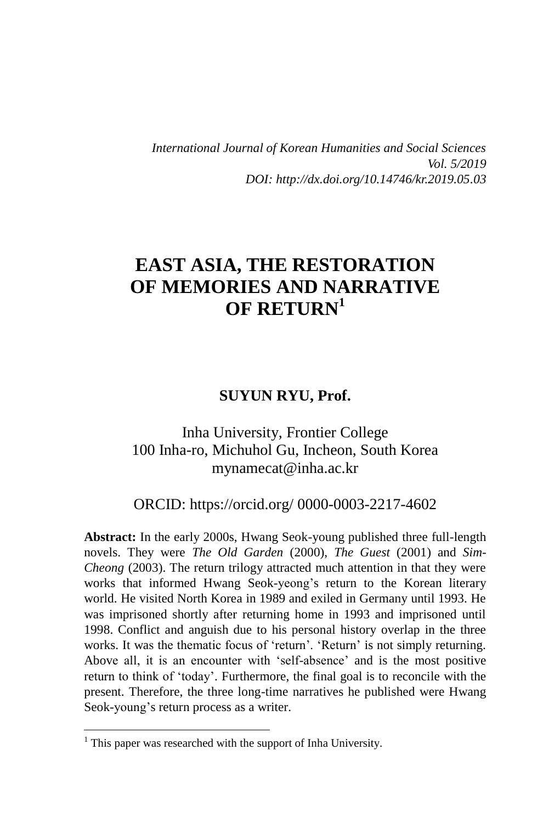*International Journal of Korean Humanities and Social Sciences Vol. 5/2019 DOI: http://dx.doi.org/10.14746/kr.2019.05.03*

# **EAST ASIA, THE RESTORATION OF MEMORIES AND NARRATIVE OF RETURN<sup>1</sup>**

### **SUYUN RYU, Prof.**

### Inha University, Frontier College 100 Inha-ro, Michuhol Gu, Incheon, South Korea [mynamecat@inha.ac.kr](mailto:mynamecat@inha.ac.kr)

ORCID: [https://orcid.org/ 0000-0003-2217-4602](https://orcid.org/0000-0000-0000-0000)

**Abstract:** In the early 2000s, Hwang Seok-young published three full-length novels. They were *The Old Garden* (2000), *The Guest* (2001) and *Sim-Cheong* (2003). The return trilogy attracted much attention in that they were works that informed Hwang Seok-yeong's return to the Korean literary world. He visited North Korea in 1989 and exiled in Germany until 1993. He was imprisoned shortly after returning home in 1993 and imprisoned until 1998. Conflict and anguish due to his personal history overlap in the three works. It was the thematic focus of 'return'. 'Return' is not simply returning. Above all, it is an encounter with 'self-absence' and is the most positive return to think of 'today'. Furthermore, the final goal is to reconcile with the present. Therefore, the three long-time narratives he published were Hwang Seok-young's return process as a writer.

 $<sup>1</sup>$  This paper was researched with the support of Inha University.</sup>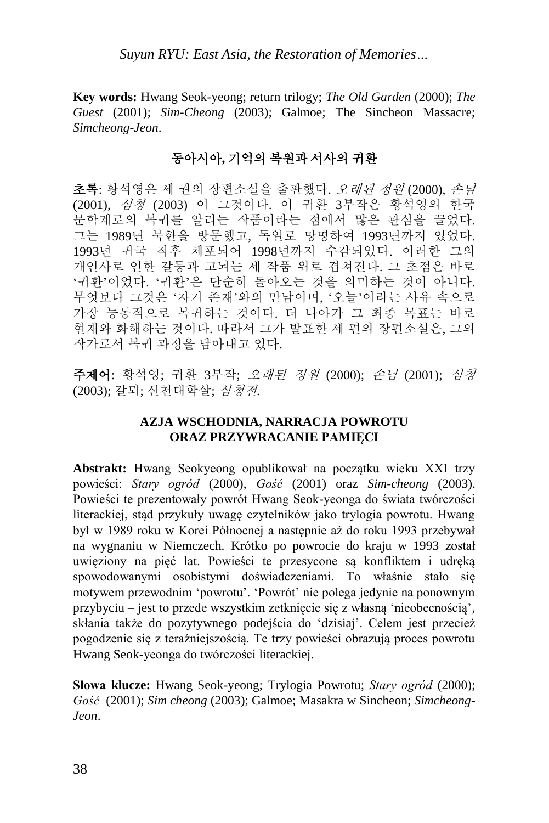**Key words:** Hwang Seok-yeong; return trilogy; *The Old Garden* (2000); *The Guest* (2001); *Sim-Cheong* (2003); Galmoe; The Sincheon Massacre; *Simcheong-Jeon*.

### 동아시아**,** 기억의 복원과 서사의 귀환

초록: 황석영은 세 권의 장편소설을 출판했다. 오래된 정원 (2000), 손님 (2001), 심청 (2003) 이 그것이다. 이 귀환 3부작은 황석영의 한국 문학계로의 복귀를 알리는 작품이라는 점에서 많은 관심을 끌었다. 그는 1989년 북한을 방문했고, 독일로 망명하여 1993년까지 있었다. 1993년 귀국 직후 체포되어 1998년까지 수감되었다. 이러한 그의 개인사로 인한 갈등과 고뇌는 세 작품 위로 겹쳐진다. 그 초점은 바로 '귀환'이었다. '귀환'은 단순히 돌아오는 것을 의미하는 것이 아니다. 무엇보다 그것은 '자기 존재'와의 만남이며, '오늘'이라는 사유 속으로 가장 능동적으로 복귀하는 것이다. 더 나아가 그 최종 목표는 바로 현재와 화해하는 것이다. 따라서 그가 발표한 세 편의 장편소설은, 그의 작가로서 복귀 과정을 담아내고 있다.

주제어: 황석영; 귀환 3부작; 오래된 정원 (2000); 손님 (2001); 심청 (2003); 갈뫼; 신천대학살; 심청전.

#### **AZJA WSCHODNIA, NARRACJA POWROTU ORAZ PRZYWRACANIE PAMIĘCI**

**Abstrakt:** Hwang Seokyeong opublikował na początku wieku XXI trzy powieści: *Stary ogród* (2000), *Gość* (2001) oraz *Sim-cheong* (2003). Powieści te prezentowały powrót Hwang Seok-yeonga do świata twórczości literackiej, stąd przykuły uwagę czytelników jako trylogia powrotu. Hwang był w 1989 roku w Korei Północnej a następnie aż do roku 1993 przebywał na wygnaniu w Niemczech. Krótko po powrocie do kraju w 1993 został uwięziony na pięć lat. Powieści te przesycone są konfliktem i udręką spowodowanymi osobistymi doświadczeniami. To właśnie stało się motywem przewodnim 'powrotu'. 'Powrót' nie polega jedynie na ponownym przybyciu – jest to przede wszystkim zetknięcie się z własną 'nieobecnością', skłania także do pozytywnego podejścia do 'dzisiaj'. Celem jest przecież pogodzenie się z teraźniejszością. Te trzy powieści obrazują proces powrotu Hwang Seok-yeonga do twórczości literackiej.

**Słowa klucze:** Hwang Seok-yeong; Trylogia Powrotu; *Stary ogród* (2000); *Gość* (2001); *Sim cheong* (2003); Galmoe; Masakra w Sincheon; *Simcheong-Jeon*.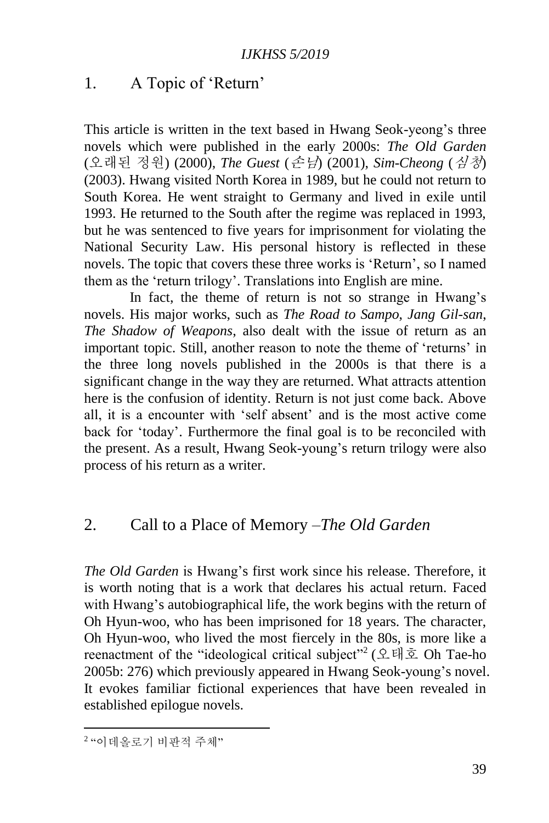### 1. A Topic of 'Return'

This article is written in the text based in Hwang Seok-yeong's three novels which were published in the early 2000s: *The Old Garden* (오래된 정원) (2000), *The Guest* (손님) (2001), *Sim-Cheong* (심청) (2003). Hwang visited North Korea in 1989, but he could not return to South Korea. He went straight to Germany and lived in exile until 1993. He returned to the South after the regime was replaced in 1993, but he was sentenced to five years for imprisonment for violating the National Security Law. His personal history is reflected in these novels. The topic that covers these three works is 'Return', so I named them as the 'return trilogy'. Translations into English are mine.

In fact, the theme of return is not so strange in Hwang's novels. His major works, such as *The Road to Sampo*, *Jang Gil-san*, *The Shadow of Weapons*, also dealt with the issue of return as an important topic. Still, another reason to note the theme of 'returns' in the three long novels published in the 2000s is that there is a significant change in the way they are returned. What attracts attention here is the confusion of identity. Return is not just come back. Above all, it is a encounter with 'self absent' and is the most active come back for 'today'. Furthermore the final goal is to be reconciled with the present. As a result, Hwang Seok-young's return trilogy were also process of his return as a writer.

## 2. Call to a Place of Memory –*The Old Garden*

*The Old Garden* is Hwang's first work since his release. Therefore, it is worth noting that is a work that declares his actual return. Faced with Hwang's autobiographical life, the work begins with the return of Oh Hyun-woo, who has been imprisoned for 18 years. The character, Oh Hyun-woo, who lived the most fiercely in the 80s, is more like a reenactment of the "ideological critical subject"<sup>2</sup> (오태호 Oh Tae-ho 2005b: 276) which previously appeared in Hwang Seok-young's novel. It evokes familiar fictional experiences that have been revealed in established epilogue novels.

<sup>2</sup> "이데올로기 비판적 주체"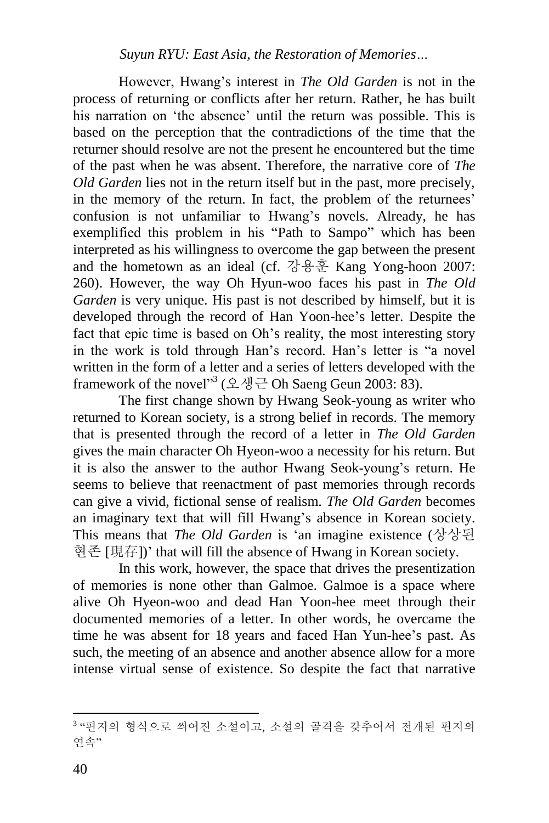However, Hwang's interest in *The Old Garden* is not in the process of returning or conflicts after her return. Rather, he has built his narration on 'the absence' until the return was possible. This is based on the perception that the contradictions of the time that the returner should resolve are not the present he encountered but the time of the past when he was absent. Therefore, the narrative core of *The Old Garden* lies not in the return itself but in the past, more precisely, in the memory of the return. In fact, the problem of the returnees' confusion is not unfamiliar to Hwang's novels. Already, he has exemplified this problem in his "Path to Sampo" which has been interpreted as his willingness to overcome the gap between the present and the hometown as an ideal (cf. 강용훈 Kang Yong-hoon 2007: 260). However, the way Oh Hyun-woo faces his past in *The Old Garden* is very unique. His past is not described by himself, but it is developed through the record of Han Yoon-hee's letter. Despite the fact that epic time is based on Oh's reality, the most interesting story in the work is told through Han's record. Han's letter is "a novel written in the form of a letter and a series of letters developed with the framework of the novel<sup>33</sup> (오생근 Oh Saeng Geun 2003: 83).

The first change shown by Hwang Seok-young as writer who returned to Korean society, is a strong belief in records. The memory that is presented through the record of a letter in *The Old Garden* gives the main character Oh Hyeon-woo a necessity for his return. But it is also the answer to the author Hwang Seok-young's return. He seems to believe that reenactment of past memories through records can give a vivid, fictional sense of realism. *The Old Garden* becomes an imaginary text that will fill Hwang's absence in Korean society. This means that *The Old Garden* is 'an imagine existence (상상된 현존 [現存])' that will fill the absence of Hwang in Korean society.

In this work, however, the space that drives the presentization of memories is none other than Galmoe. Galmoe is a space where alive Oh Hyeon-woo and dead Han Yoon-hee meet through their documented memories of a letter. In other words, he overcame the time he was absent for 18 years and faced Han Yun-hee's past. As such, the meeting of an absence and another absence allow for a more intense virtual sense of existence. So despite the fact that narrative

 3 "편지의 형식으로 씌어진 소설이고, 소설의 골격을 갖추어서 전개된 편지의 연속"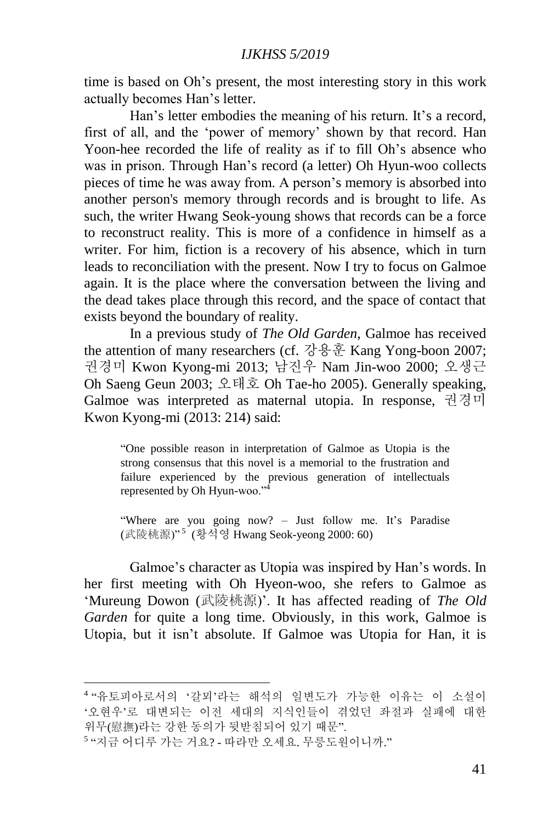time is based on Oh's present, the most interesting story in this work actually becomes Han's letter.

Han's letter embodies the meaning of his return. It's a record, first of all, and the 'power of memory' shown by that record. Han Yoon-hee recorded the life of reality as if to fill Oh's absence who was in prison. Through Han's record (a letter) Oh Hyun-woo collects pieces of time he was away from. A person's memory is absorbed into another person's memory through records and is brought to life. As such, the writer Hwang Seok-young shows that records can be a force to reconstruct reality. This is more of a confidence in himself as a writer. For him, fiction is a recovery of his absence, which in turn leads to reconciliation with the present. Now I try to focus on Galmoe again. It is the place where the conversation between the living and the dead takes place through this record, and the space of contact that exists beyond the boundary of reality.

In a previous study of *The Old Garden*, Galmoe has received the attention of many researchers (cf. 강용훈 Kang Yong-boon 2007; 권경미 Kwon Kyong-mi 2013; 남진우 Nam Jin-woo 2000; 오생근 Oh Saeng Geun 2003; 오태호 Oh Tae-ho 2005). Generally speaking, Galmoe was interpreted as maternal utopia. In response, 권경미 Kwon Kyong-mi (2013: 214) said:

"One possible reason in interpretation of Galmoe as Utopia is the strong consensus that this novel is a memorial to the frustration and failure experienced by the previous generation of intellectuals represented by Oh Hyun-woo."<sup>4</sup>

"Where are you going now? – Just follow me. It's Paradise (武陵桃源)" <sup>5</sup> (황석영 Hwang Seok-yeong 2000: 60)

Galmoe's character as Utopia was inspired by Han's words. In her first meeting with Oh Hyeon-woo, she refers to Galmoe as 'Mureung Dowon (武陵桃源)'. It has affected reading of *The Old Garden* for quite a long time. Obviously, in this work, Galmoe is Utopia, but it isn't absolute. If Galmoe was Utopia for Han, it is

<sup>4</sup> "유토피아로서의 '갈뫼'라는 해석의 일변도가 가능한 이유는 이 소설이 '오현우'로 대변되는 이전 세대의 지식인들이 겪었던 좌절과 실패에 대한 위무(慰撫)라는 강한 동의가 뒷받침되어 있기 때문".

<sup>5</sup> "지금 어디루 가는 거요? - 따라만 오세요. 무릉도원이니까."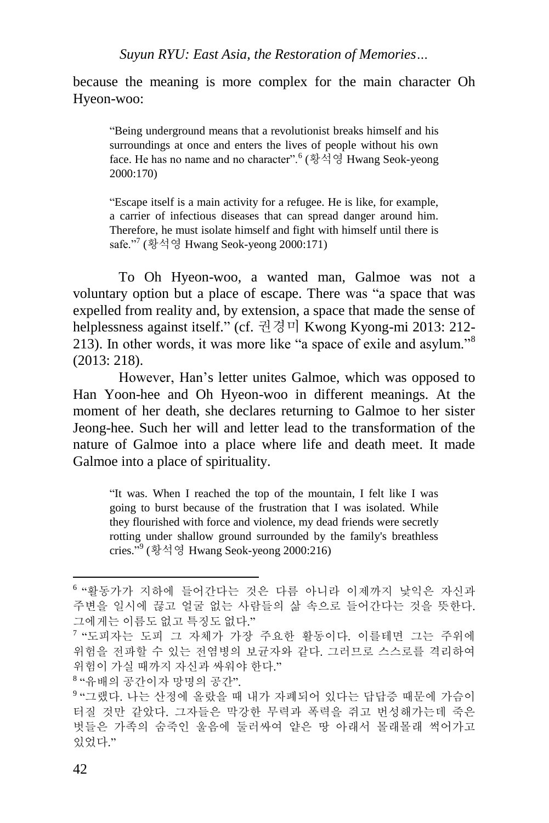because the meaning is more complex for the main character Oh Hyeon-woo:

"Being underground means that a revolutionist breaks himself and his surroundings at once and enters the lives of people without his own face. He has no name and no character".<sup>6</sup> (황석영 Hwang Seok-yeong 2000:170)

"Escape itself is a main activity for a refugee. He is like, for example, a carrier of infectious diseases that can spread danger around him. Therefore, he must isolate himself and fight with himself until there is safe."<sup>7</sup> (황석영 Hwang Seok-yeong 2000:171)

To Oh Hyeon-woo, a wanted man, Galmoe was not a voluntary option but a place of escape. There was "a space that was expelled from reality and, by extension, a space that made the sense of helplessness against itself." (cf. 권경미 Kwong Kyong-mi 2013: 212- 213). In other words, it was more like "a space of exile and asylum."<sup>8</sup> (2013: 218).

However, Han's letter unites Galmoe, which was opposed to Han Yoon-hee and Oh Hyeon-woo in different meanings. At the moment of her death, she declares returning to Galmoe to her sister Jeong-hee. Such her will and letter lead to the transformation of the nature of Galmoe into a place where life and death meet. It made Galmoe into a place of spirituality.

"It was. When I reached the top of the mountain, I felt like I was going to burst because of the frustration that I was isolated. While they flourished with force and violence, my dead friends were secretly rotting under shallow ground surrounded by the family's breathless cries." 9 (황석영 Hwang Seok-yeong 2000:216)

8 "유배의 공간이자 망명의 공간".

<sup>6</sup> "활동가가 지하에 들어간다는 것은 다름 아니라 이제까지 낯익은 자신과 주변을 일시에 끊고 얼굴 없는 사람들의 삶 속으로 들어간다는 것을 뜻한다. 그에게는 이름도 없고 특징도 없다."

<sup>7</sup> "도피자는 도피 그 자체가 가장 주요한 활동이다. 이를테면 그는 주위에 위험을 전파할 수 있는 전염병의 보균자와 같다. 그러므로 스스로를 격리하여 위험이 가실 때까지 자신과 싸워야 한다."

<sup>9</sup> "그랬다. 나는 산정에 올랐을 때 내가 자폐되어 있다는 답답증 때문에 가슴이 터질 것만 같았다. 그자들은 막강한 무력과 폭력을 쥐고 번성해가는데 죽은 벗들은 가족의 숨죽인 울음에 둘러싸여 얕은 땅 아래서 몰래몰래 썩어가고 있었다."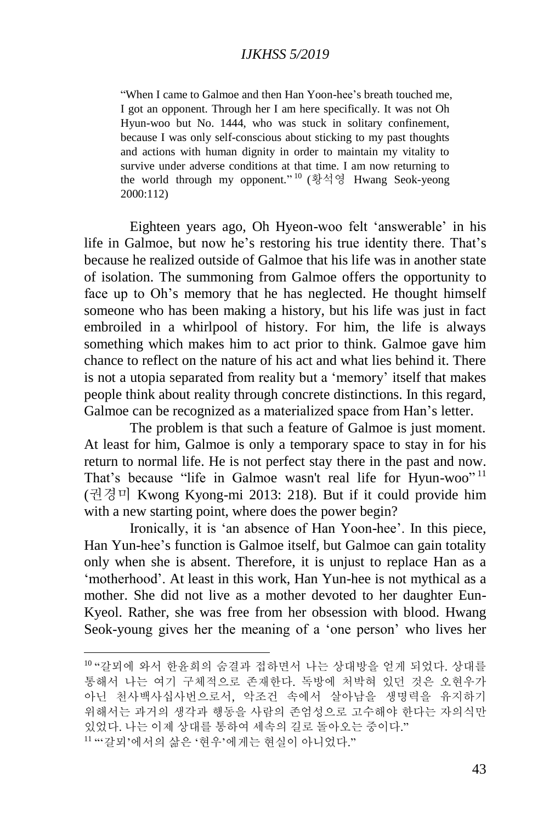"When I came to Galmoe and then Han Yoon-hee's breath touched me, I got an opponent. Through her I am here specifically. It was not Oh Hyun-woo but No. 1444, who was stuck in solitary confinement, because I was only self-conscious about sticking to my past thoughts and actions with human dignity in order to maintain my vitality to survive under adverse conditions at that time. I am now returning to the world through my opponent." <sup>10</sup> (황석영 Hwang Seok-yeong 2000:112)

Eighteen years ago, Oh Hyeon-woo felt 'answerable' in his life in Galmoe, but now he's restoring his true identity there. That's because he realized outside of Galmoe that his life was in another state of isolation. The summoning from Galmoe offers the opportunity to face up to Oh's memory that he has neglected. He thought himself someone who has been making a history, but his life was just in fact embroiled in a whirlpool of history. For him, the life is always something which makes him to act prior to think. Galmoe gave him chance to reflect on the nature of his act and what lies behind it. There is not a utopia separated from reality but a 'memory' itself that makes people think about reality through concrete distinctions. In this regard, Galmoe can be recognized as a materialized space from Han's letter.

The problem is that such a feature of Galmoe is just moment. At least for him, Galmoe is only a temporary space to stay in for his return to normal life. He is not perfect stay there in the past and now. That's because "life in Galmoe wasn't real life for Hyun-woo"<sup>11</sup> (권경미 Kwong Kyong-mi 2013: 218). But if it could provide him with a new starting point, where does the power begin?

Ironically, it is 'an absence of Han Yoon-hee'. In this piece, Han Yun-hee's function is Galmoe itself, but Galmoe can gain totality only when she is absent. Therefore, it is unjust to replace Han as a 'motherhood'. At least in this work, Han Yun-hee is not mythical as a mother. She did not live as a mother devoted to her daughter Eun-Kyeol. Rather, she was free from her obsession with blood. Hwang Seok-young gives her the meaning of a 'one person' who lives her

<sup>10</sup> "갈뫼에 와서 한윤희의 숨결과 접하면서 나는 상대방을 얻게 되었다. 상대를 통해서 나는 여기 구체적으로 존재한다. 독방에 처박혀 있던 것은 오현우가 아닌 천사백사십사번으로서, 악조건 속에서 살아남을 생명력을 유지하기 위해서는 과거의 생각과 행동을 사람의 존엄성으로 고수해야 한다는 자의식만 있었다. 나는 이제 상대를 통하여 세속의 길로 돌아오는 중이다." <sup>11</sup> "'갈뫼'에서의 삶은 '현우'에게는 현실이 아니었다."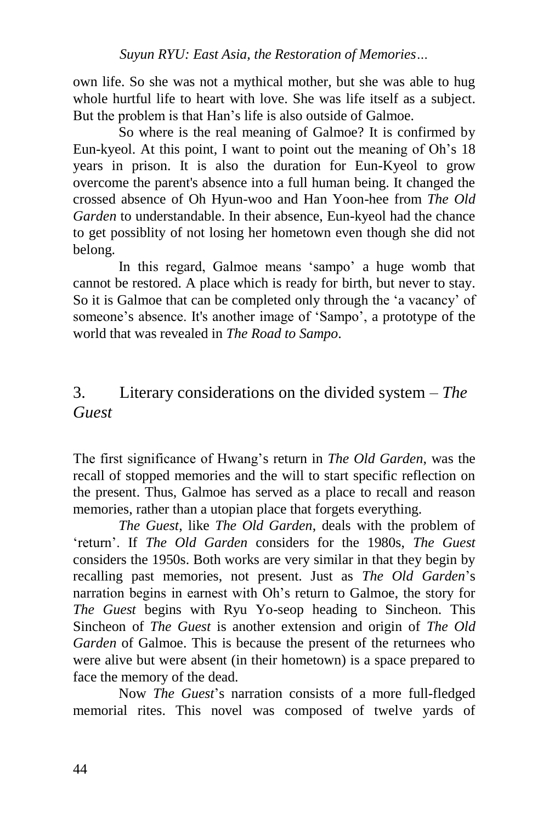own life. So she was not a mythical mother, but she was able to hug whole hurtful life to heart with love. She was life itself as a subject. But the problem is that Han's life is also outside of Galmoe.

So where is the real meaning of Galmoe? It is confirmed by Eun-kyeol. At this point, I want to point out the meaning of Oh's 18 years in prison. It is also the duration for Eun-Kyeol to grow overcome the parent's absence into a full human being. It changed the crossed absence of Oh Hyun-woo and Han Yoon-hee from *The Old Garden* to understandable. In their absence, Eun-kyeol had the chance to get possiblity of not losing her hometown even though she did not belong.

In this regard, Galmoe means 'sampo' a huge womb that cannot be restored. A place which is ready for birth, but never to stay. So it is Galmoe that can be completed only through the 'a vacancy' of someone's absence. It's another image of 'Sampo', a prototype of the world that was revealed in *The Road to Sampo*.

## 3. Literary considerations on the divided system – *The Guest*

The first significance of Hwang's return in *The Old Garden*, was the recall of stopped memories and the will to start specific reflection on the present. Thus, Galmoe has served as a place to recall and reason memories, rather than a utopian place that forgets everything.

*The Guest*, like *The Old Garden*, deals with the problem of 'return'. If *The Old Garden* considers for the 1980s, *The Guest* considers the 1950s. Both works are very similar in that they begin by recalling past memories, not present. Just as *The Old Garden*'s narration begins in earnest with Oh's return to Galmoe, the story for *The Guest* begins with Ryu Yo-seop heading to Sincheon. This Sincheon of *The Guest* is another extension and origin of *The Old Garden* of Galmoe. This is because the present of the returnees who were alive but were absent (in their hometown) is a space prepared to face the memory of the dead.

Now *The Guest*'s narration consists of a more full-fledged memorial rites. This novel was composed of twelve yards of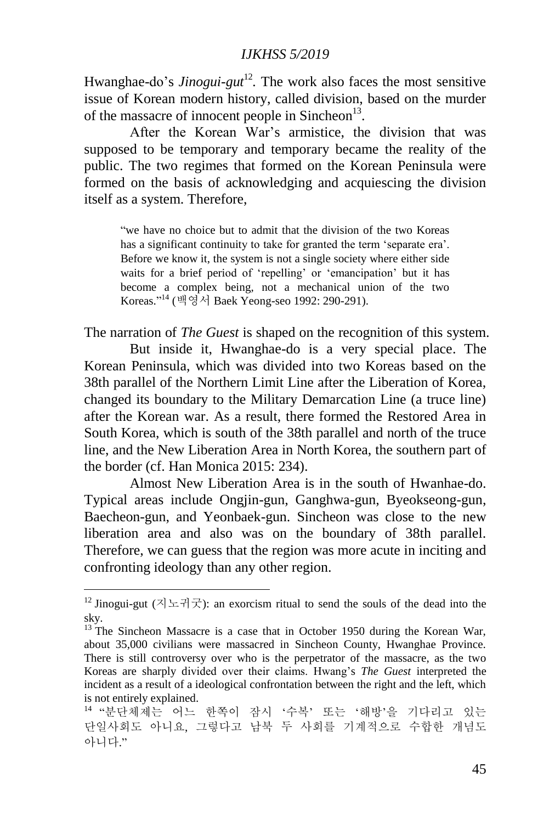Hwanghae-do's *Jinogui-gut*<sup>12</sup>. The work also faces the most sensitive issue of Korean modern history, called division, based on the murder of the massacre of innocent people in Sincheon $^{13}$ .

After the Korean War's armistice, the division that was supposed to be temporary and temporary became the reality of the public. The two regimes that formed on the Korean Peninsula were formed on the basis of acknowledging and acquiescing the division itself as a system. Therefore,

"we have no choice but to admit that the division of the two Koreas has a significant continuity to take for granted the term 'separate era'. Before we know it, the system is not a single society where either side waits for a brief period of 'repelling' or 'emancipation' but it has become a complex being, not a mechanical union of the two Koreas." <sup>14</sup> (백영서 Baek Yeong-seo 1992: 290-291).

The narration of *The Guest* is shaped on the recognition of this system.

But inside it, Hwanghae-do is a very special place. The Korean Peninsula, which was divided into two Koreas based on the 38th parallel of the Northern Limit Line after the Liberation of Korea, changed its boundary to the Military Demarcation Line (a truce line) after the Korean war. As a result, there formed the Restored Area in South Korea, which is south of the 38th parallel and north of the truce line, and the New Liberation Area in North Korea, the southern part of the border (cf. Han Monica 2015: 234).

Almost New Liberation Area is in the south of Hwanhae-do. Typical areas include Ongjin-gun, Ganghwa-gun, Byeokseong-gun, Baecheon-gun, and Yeonbaek-gun. Sincheon was close to the new liberation area and also was on the boundary of 38th parallel. Therefore, we can guess that the region was more acute in inciting and confronting ideology than any other region.

 $12$  Jinogui-gut (지노귀굿): an exorcism ritual to send the souls of the dead into the sky.

<sup>&</sup>lt;sup>13</sup> The Sincheon Massacre is a case that in October 1950 during the Korean War, about 35,000 civilians were massacred in Sincheon County, Hwanghae Province. There is still controversy over who is the perpetrator of the massacre, as the two Koreas are sharply divided over their claims. Hwang's *The Guest* interpreted the incident as a result of a ideological confrontation between the right and the left, which is not entirely explained.

<sup>14</sup> "분단체제는 어느 한쪽이 잠시 '수복' 또는 '해방'을 기다리고 있는 단일사회도 아니요, 그렇다고 남북 두 사회를 기계적으로 수합한 개념도 아니다."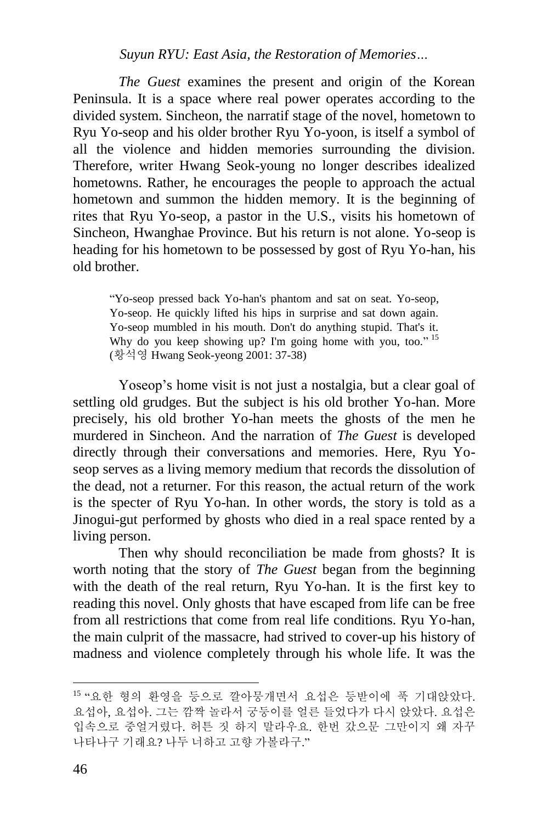*The Guest* examines the present and origin of the Korean Peninsula. It is a space where real power operates according to the divided system. Sincheon, the narratif stage of the novel, hometown to Ryu Yo-seop and his older brother Ryu Yo-yoon, is itself a symbol of all the violence and hidden memories surrounding the division. Therefore, writer Hwang Seok-young no longer describes idealized hometowns. Rather, he encourages the people to approach the actual hometown and summon the hidden memory. It is the beginning of rites that Ryu Yo-seop, a pastor in the U.S., visits his hometown of Sincheon, Hwanghae Province. But his return is not alone. Yo-seop is heading for his hometown to be possessed by gost of Ryu Yo-han, his old brother.

"Yo-seop pressed back Yo-han's phantom and sat on seat. Yo-seop, Yo-seop. He quickly lifted his hips in surprise and sat down again. Yo-seop mumbled in his mouth. Don't do anything stupid. That's it. Why do you keep showing up? I'm going home with you, too." <sup>15</sup> (황석영 Hwang Seok-yeong 2001: 37-38)

Yoseop's home visit is not just a nostalgia, but a clear goal of settling old grudges. But the subject is his old brother Yo-han. More precisely, his old brother Yo-han meets the ghosts of the men he murdered in Sincheon. And the narration of *The Guest* is developed directly through their conversations and memories. Here, Ryu Yoseop serves as a living memory medium that records the dissolution of the dead, not a returner. For this reason, the actual return of the work is the specter of Ryu Yo-han. In other words, the story is told as a Jinogui-gut performed by ghosts who died in a real space rented by a living person.

Then why should reconciliation be made from ghosts? It is worth noting that the story of *The Guest* began from the beginning with the death of the real return, Ryu Yo-han. It is the first key to reading this novel. Only ghosts that have escaped from life can be free from all restrictions that come from real life conditions. Ryu Yo-han, the main culprit of the massacre, had strived to cover-up his history of madness and violence completely through his whole life. It was the

<sup>15</sup> "요한 형의 환영을 등으로 깔아뭉개면서 요섭은 등받이에 푹 기대앉았다. 요섭아, 요섭아. 그는 깜짝 놀라서 궁둥이를 얼른 들었다가 다시 앉았다. 요섭은 입속으로 중얼거렸다. 허튼 짓 하지 말라우요. 한번 갔으문 그만이지 왜 자꾸 나타나구 기래요? 나두 너하고 고향 가볼라구."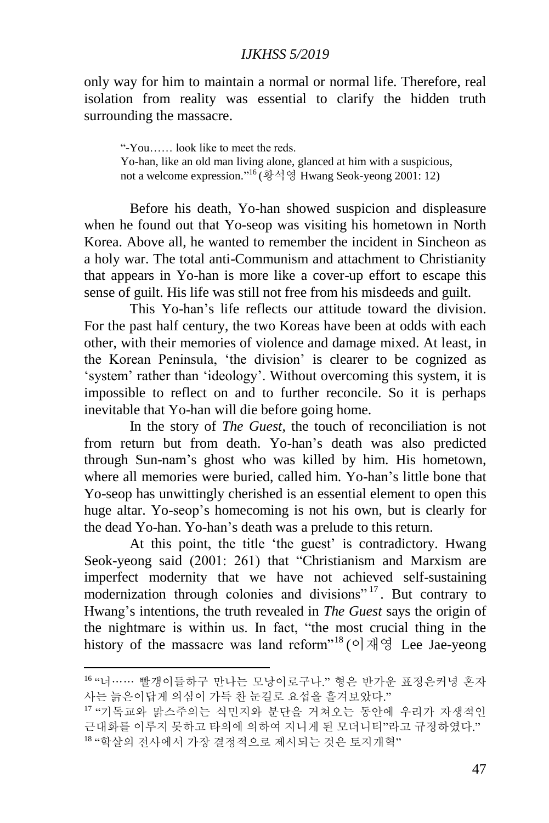only way for him to maintain a normal or normal life. Therefore, real isolation from reality was essential to clarify the hidden truth surrounding the massacre.

"-You…… look like to meet the reds. Yo-han, like an old man living alone, glanced at him with a suspicious, not a welcome expression." <sup>16</sup> (황석영 Hwang Seok-yeong 2001: 12)

Before his death, Yo-han showed suspicion and displeasure when he found out that Yo-seop was visiting his hometown in North Korea. Above all, he wanted to remember the incident in Sincheon as a holy war. The total anti-Communism and attachment to Christianity that appears in Yo-han is more like a cover-up effort to escape this sense of guilt. His life was still not free from his misdeeds and guilt.

This Yo-han's life reflects our attitude toward the division. For the past half century, the two Koreas have been at odds with each other, with their memories of violence and damage mixed. At least, in the Korean Peninsula, 'the division' is clearer to be cognized as 'system' rather than 'ideology'. Without overcoming this system, it is impossible to reflect on and to further reconcile. So it is perhaps inevitable that Yo-han will die before going home.

In the story of *The Guest*, the touch of reconciliation is not from return but from death. Yo-han's death was also predicted through Sun-nam's ghost who was killed by him. His hometown, where all memories were buried, called him. Yo-han's little bone that Yo-seop has unwittingly cherished is an essential element to open this huge altar. Yo-seop's homecoming is not his own, but is clearly for the dead Yo-han. Yo-han's death was a prelude to this return.

At this point, the title 'the guest' is contradictory. Hwang Seok-yeong said (2001: 261) that "Christianism and Marxism are imperfect modernity that we have not achieved self-sustaining modernization through colonies and divisions"<sup>17</sup>. But contrary to Hwang's intentions, the truth revealed in *The Guest* says the origin of the nightmare is within us. In fact, "the most crucial thing in the history of the massacre was land reform<sup>"18</sup> (이재영 Lee Jae-yeong

<sup>1</sup> <sup>16</sup> "너…… 빨갱이들하구 만나는 모낭이로구나." 형은 반가운 표정은커녕 혼자 사는 늙은이답게 의심이 가득 찬 눈길로 요섭을 흘겨보았다."

<sup>17</sup> "기독교와 맑스주의는 식민지와 분단을 거쳐오는 동안에 우리가 자생적인 근대화를 이루지 못하고 타의에 의하여 지니게 된 모더니티"라고 규정하였다." <sup>18</sup> "학살의 전사에서 가장 결정적으로 제시되는 것은 토지개혁"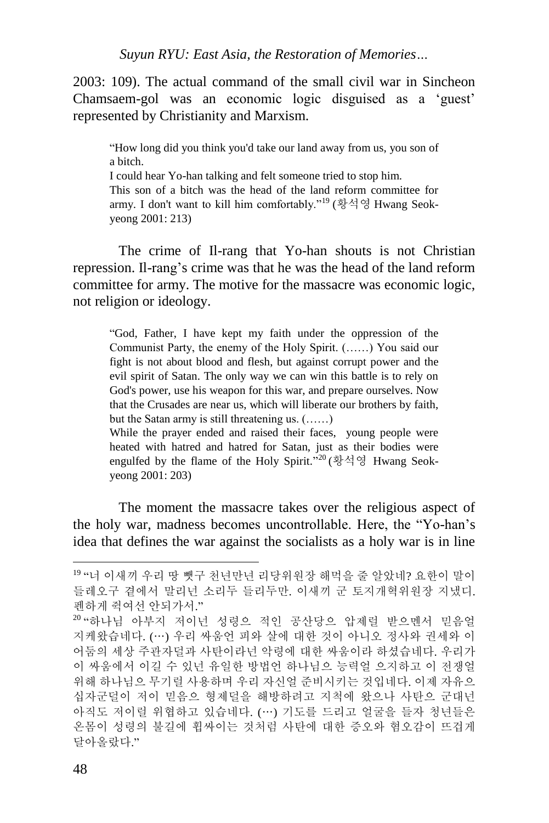2003: 109). The actual command of the small civil war in Sincheon Chamsaem-gol was an economic logic disguised as a 'guest' represented by Christianity and Marxism.

"How long did you think you'd take our land away from us, you son of a bitch.

I could hear Yo-han talking and felt someone tried to stop him. This son of a bitch was the head of the land reform committee for army. I don't want to kill him comfortably."<sup>19</sup> (황석영 Hwang Seokyeong 2001: 213)

The crime of Il-rang that Yo-han shouts is not Christian repression. Il-rang's crime was that he was the head of the land reform committee for army. The motive for the massacre was economic logic, not religion or ideology.

"God, Father, I have kept my faith under the oppression of the Communist Party, the enemy of the Holy Spirit. (……) You said our fight is not about blood and flesh, but against corrupt power and the evil spirit of Satan. The only way we can win this battle is to rely on God's power, use his weapon for this war, and prepare ourselves. Now that the Crusades are near us, which will liberate our brothers by faith, but the Satan army is still threatening us. (……)

While the prayer ended and raised their faces, young people were heated with hatred and hatred for Satan, just as their bodies were engulfed by the flame of the Holy Spirit."<sup>20</sup> (황석영 Hwang Seokyeong 2001: 203)

The moment the massacre takes over the religious aspect of the holy war, madness becomes uncontrollable. Here, the "Yo-han's idea that defines the war against the socialists as a holy war is in line

<sup>19</sup> "너 이새끼 우리 땅 뺏구 천년만년 리당위원장 해먹을 줄 알았네? 요한이 말이 들레오구 곁에서 말리넌 소리두 들리두만. 이새끼 군 토지개혁위원장 지냈디. 펜하게 쥑여선 안되가서."

<sup>20</sup> "하나님 아부지 저이넌 성령으 적인 공산당으 압제럴 받으멘서 믿음얼 지케왔습네다. (…) 우리 싸움언 피와 살에 대한 것이 아니오 정사와 권세와 이 어둠의 세상 주관자덜과 사탄이라넌 악령에 대한 싸움이라 하셨습네다. 우리가 이 싸움에서 이길 수 있넌 유일한 방법언 하나님으 능력얼 으지하고 이 전쟁얼 위해 하나님으 무기럴 사용하며 우리 자신얼 준비시키는 것입네다. 이제 자유으 십자군덜이 저이 믿음으 형제덜을 해방하려고 지척에 왔으나 사탄으 군대넌 아직도 저이럴 위협하고 있습네다. (…) 기도를 드리고 얼굴을 들자 청년들은 온몸이 성령의 불길에 휩싸이는 것처럼 사탄에 대한 증오와 혐오감이 뜨겁게 달아올랐다."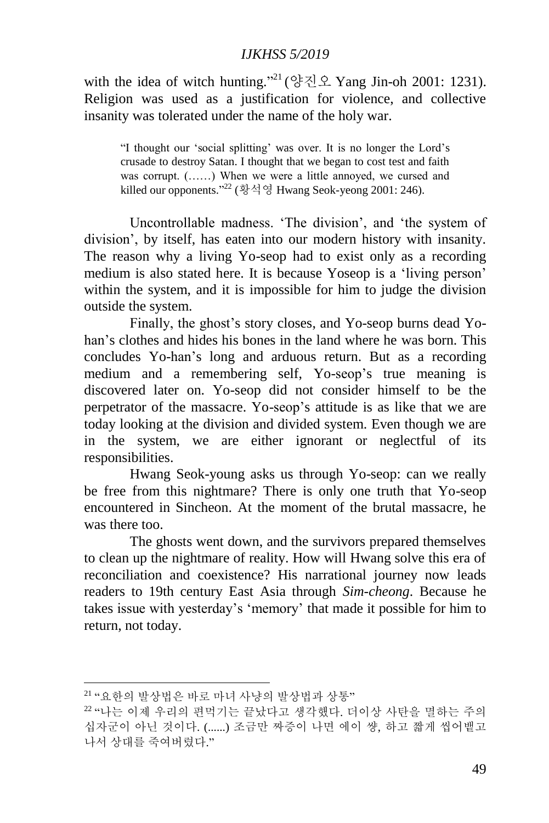with the idea of witch hunting."<sup>21</sup> (양진오 Yang Jin-oh 2001: 1231). Religion was used as a justification for violence, and collective insanity was tolerated under the name of the holy war.

"I thought our 'social splitting' was over. It is no longer the Lord's crusade to destroy Satan. I thought that we began to cost test and faith was corrupt. (......) When we were a little annoyed, we cursed and killed our opponents." <sup>22</sup> (황석영 Hwang Seok-yeong 2001: 246).

Uncontrollable madness. 'The division', and 'the system of division', by itself, has eaten into our modern history with insanity. The reason why a living Yo-seop had to exist only as a recording medium is also stated here. It is because Yoseop is a 'living person' within the system, and it is impossible for him to judge the division outside the system.

Finally, the ghost's story closes, and Yo-seop burns dead Yohan's clothes and hides his bones in the land where he was born. This concludes Yo-han's long and arduous return. But as a recording medium and a remembering self, Yo-seop's true meaning is discovered later on. Yo-seop did not consider himself to be the perpetrator of the massacre. Yo-seop's attitude is as like that we are today looking at the division and divided system. Even though we are in the system, we are either ignorant or neglectful of its responsibilities.

Hwang Seok-young asks us through Yo-seop: can we really be free from this nightmare? There is only one truth that Yo-seop encountered in Sincheon. At the moment of the brutal massacre, he was there too.

The ghosts went down, and the survivors prepared themselves to clean up the nightmare of reality. How will Hwang solve this era of reconciliation and coexistence? His narrational journey now leads readers to 19th century East Asia through *Sim-cheong*. Because he takes issue with yesterday's 'memory' that made it possible for him to return, not today.

<sup>21</sup> "요한의 발상법은 바로 마녀 사냥의 발상법과 상통"

<sup>22</sup> "나는 이제 우리의 편먹기는 끝났다고 생각했다. 더이상 사탄을 멸하는 주의 십자군이 아닌 것이다. (......) 조금만 짜증이 나면 에이 썅, 하고 짧게 씹어뱉고 나서 상대를 죽여버렸다."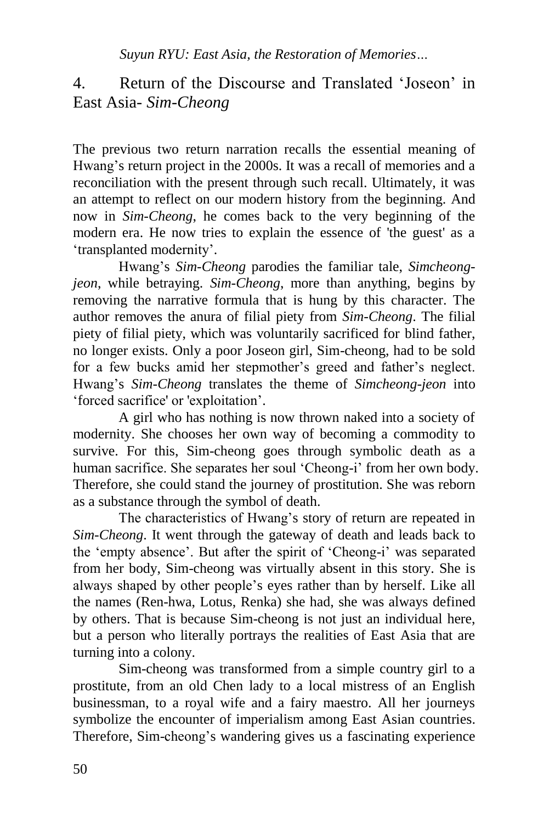4. Return of the Discourse and Translated 'Joseon' in East Asia- *Sim-Cheong*

The previous two return narration recalls the essential meaning of Hwang's return project in the 2000s. It was a recall of memories and a reconciliation with the present through such recall. Ultimately, it was an attempt to reflect on our modern history from the beginning. And now in *Sim-Cheong*, he comes back to the very beginning of the modern era. He now tries to explain the essence of 'the guest' as a 'transplanted modernity'.

Hwang's *Sim-Cheong* parodies the familiar tale, *Simcheongjeon*, while betraying. *Sim-Cheong*, more than anything, begins by removing the narrative formula that is hung by this character. The author removes the anura of filial piety from *Sim-Cheong*. The filial piety of filial piety, which was voluntarily sacrificed for blind father, no longer exists. Only a poor Joseon girl, Sim-cheong, had to be sold for a few bucks amid her stepmother's greed and father's neglect. Hwang's *Sim-Cheong* translates the theme of *Simcheong-jeon* into 'forced sacrifice' or 'exploitation'.

A girl who has nothing is now thrown naked into a society of modernity. She chooses her own way of becoming a commodity to survive. For this, Sim-cheong goes through symbolic death as a human sacrifice. She separates her soul 'Cheong-i' from her own body. Therefore, she could stand the journey of prostitution. She was reborn as a substance through the symbol of death.

The characteristics of Hwang's story of return are repeated in *Sim-Cheong*. It went through the gateway of death and leads back to the 'empty absence'. But after the spirit of 'Cheong-i' was separated from her body, Sim-cheong was virtually absent in this story. She is always shaped by other people's eyes rather than by herself. Like all the names (Ren-hwa, Lotus, Renka) she had, she was always defined by others. That is because Sim-cheong is not just an individual here, but a person who literally portrays the realities of East Asia that are turning into a colony.

Sim-cheong was transformed from a simple country girl to a prostitute, from an old Chen lady to a local mistress of an English businessman, to a royal wife and a fairy maestro. All her journeys symbolize the encounter of imperialism among East Asian countries. Therefore, Sim-cheong's wandering gives us a fascinating experience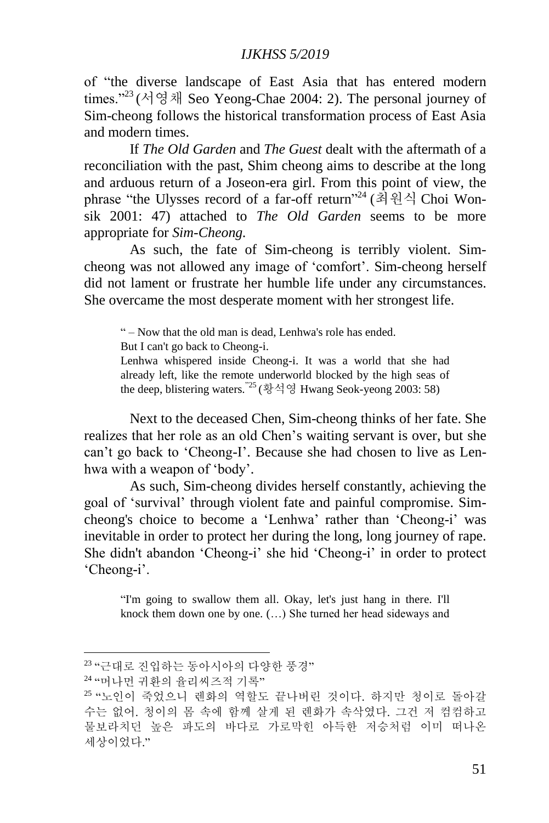of "the diverse landscape of East Asia that has entered modern times."<sup>23</sup> (서영채 Seo Yeong-Chae 2004: 2). The personal journey of Sim-cheong follows the historical transformation process of East Asia and modern times.

If *The Old Garden* and *The Guest* dealt with the aftermath of a reconciliation with the past, Shim cheong aims to describe at the long and arduous return of a Joseon-era girl. From this point of view, the phrase "the Ulysses record of a far-off return"<sup>24</sup> (최원식 Choi Wonsik 2001: 47) attached to *The Old Garden* seems to be more appropriate for *Sim-Cheong*.

As such, the fate of Sim-cheong is terribly violent. Simcheong was not allowed any image of 'comfort'. Sim-cheong herself did not lament or frustrate her humble life under any circumstances. She overcame the most desperate moment with her strongest life.

" – Now that the old man is dead, Lenhwa's role has ended.

But I can't go back to Cheong-i.

Lenhwa whispered inside Cheong-i. It was a world that she had already left, like the remote underworld blocked by the high seas of the deep, blistering waters.<sup>"25</sup> (황석영 Hwang Seok-yeong 2003: 58)

Next to the deceased Chen, Sim-cheong thinks of her fate. She realizes that her role as an old Chen's waiting servant is over, but she can't go back to 'Cheong-I'. Because she had chosen to live as Lenhwa with a weapon of 'body'.

As such, Sim-cheong divides herself constantly, achieving the goal of 'survival' through violent fate and painful compromise. Simcheong's choice to become a 'Lenhwa' rather than 'Cheong-i' was inevitable in order to protect her during the long, long journey of rape. She didn't abandon 'Cheong-i' she hid 'Cheong-i' in order to protect 'Cheong-i'.

"I'm going to swallow them all. Okay, let's just hang in there. I'll knock them down one by one. (…) She turned her head sideways and

<sup>&</sup>lt;sup>23</sup> "근대로 진입하는 동아시아의 다양한 풍경"

<sup>24</sup> "머나먼 귀환의 율리씨즈적 기록"

<sup>25</sup> "노인이 죽었으니 렌화의 역할도 끝나버린 것이다. 하지만 청이로 돌아갈 수는 없어. 청이의 몸 속에 함께 살게 된 렌화가 속삭였다. 그건 저 컴컴하고 물보라치던 높은 파도의 바다로 가로막힌 아득한 저승처럼 이미 떠나온 세상이었다."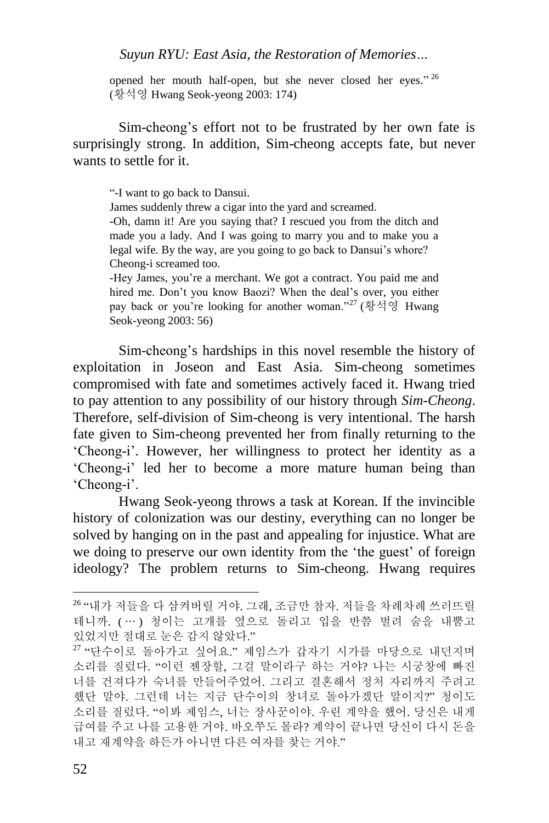opened her mouth half-open, but she never closed her eyes."  $26$ (황석영 Hwang Seok-yeong 2003: 174)

Sim-cheong's effort not to be frustrated by her own fate is surprisingly strong. In addition, Sim-cheong accepts fate, but never wants to settle for it.

"-I want to go back to Dansui.

James suddenly threw a cigar into the yard and screamed.

-Oh, damn it! Are you saying that? I rescued you from the ditch and made you a lady. And I was going to marry you and to make you a legal wife. By the way, are you going to go back to Dansui's whore? Cheong-i screamed too.

-Hey James, you're a merchant. We got a contract. You paid me and hired me. Don't you know Baozi? When the deal's over, you either pay back or you're looking for another woman."<sup>27</sup> (황석영 Hwang Seok-yeong 2003: 56)

Sim-cheong's hardships in this novel resemble the history of exploitation in Joseon and East Asia. Sim-cheong sometimes compromised with fate and sometimes actively faced it. Hwang tried to pay attention to any possibility of our history through *Sim-Cheong*. Therefore, self-division of Sim-cheong is very intentional. The harsh fate given to Sim-cheong prevented her from finally returning to the 'Cheong-i'. However, her willingness to protect her identity as a 'Cheong-i' led her to become a more mature human being than 'Cheong-i'.

Hwang Seok-yeong throws a task at Korean. If the invincible history of colonization was our destiny, everything can no longer be solved by hanging on in the past and appealing for injustice. What are we doing to preserve our own identity from the 'the guest' of foreign ideology? The problem returns to Sim-cheong. Hwang requires

<sup>26</sup> "내가 저들을 다 삼켜버릴 거야. 그래, 조금만 참자. 저들을 차례차례 쓰러뜨릴 테니까. ( … ) 청이는 고개를 옆으로 돌리고 입을 반쯤 벌려 숨을 내뿜고 있었지만 절대로 눈은 감지 않았다."

 $27$  "단수이로 돌아가고 싶어요." 제임스가 갑자기 시가를 마당으로 내던지며 소리를 질렀다. "이런 젠장할, 그걸 말이라구 하는 거야? 나는 시궁창에 빠진 너를 건져다가 숙녀를 만들어주었어. 그리고 결혼해서 정처 자리까지 주려고 했단 말야. 그런데 너는 지금 단수이의 창녀로 돌아가겠단 말이지?" 청이도 소리를 질렀다. "이봐 제임스, 너는 장사꾼이야. 우린 계약을 했어. 당신은 내게 급여를 주고 나를 고용한 거야. 바오쭈도 몰라? 계약이 끝나면 당신이 다시 돈을 내고 재계약을 하든가 아니면 다른 여자를 찾는 거야."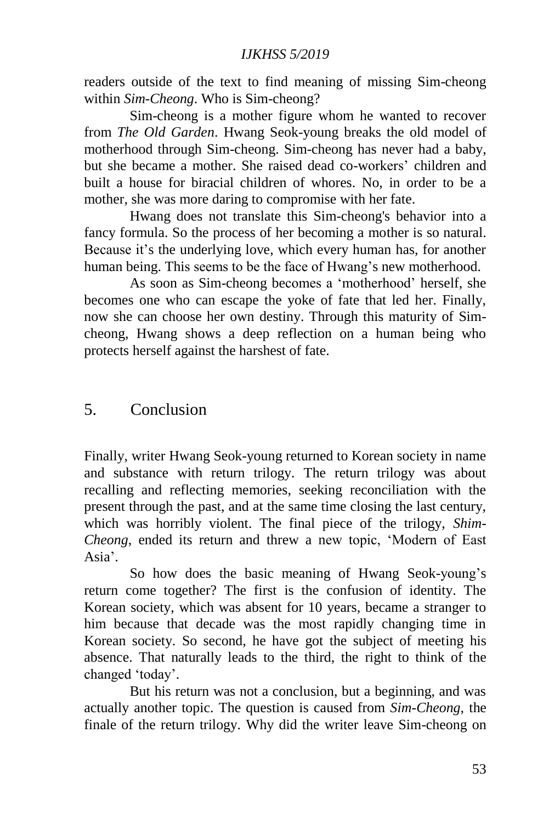readers outside of the text to find meaning of missing Sim-cheong within *Sim-Cheong*. Who is Sim-cheong?

Sim-cheong is a mother figure whom he wanted to recover from *The Old Garden*. Hwang Seok-young breaks the old model of motherhood through Sim-cheong. Sim-cheong has never had a baby, but she became a mother. She raised dead co-workers' children and built a house for biracial children of whores. No, in order to be a mother, she was more daring to compromise with her fate.

Hwang does not translate this Sim-cheong's behavior into a fancy formula. So the process of her becoming a mother is so natural. Because it's the underlying love, which every human has, for another human being. This seems to be the face of Hwang's new motherhood.

As soon as Sim-cheong becomes a 'motherhood' herself, she becomes one who can escape the yoke of fate that led her. Finally, now she can choose her own destiny. Through this maturity of Simcheong, Hwang shows a deep reflection on a human being who protects herself against the harshest of fate.

## 5. Conclusion

Finally, writer Hwang Seok-young returned to Korean society in name and substance with return trilogy. The return trilogy was about recalling and reflecting memories, seeking reconciliation with the present through the past, and at the same time closing the last century, which was horribly violent. The final piece of the trilogy, *Shim-Cheong*, ended its return and threw a new topic, 'Modern of East Asia'.

So how does the basic meaning of Hwang Seok-young's return come together? The first is the confusion of identity. The Korean society, which was absent for 10 years, became a stranger to him because that decade was the most rapidly changing time in Korean society. So second, he have got the subject of meeting his absence. That naturally leads to the third, the right to think of the changed 'today'.

But his return was not a conclusion, but a beginning, and was actually another topic. The question is caused from *Sim-Cheong*, the finale of the return trilogy. Why did the writer leave Sim-cheong on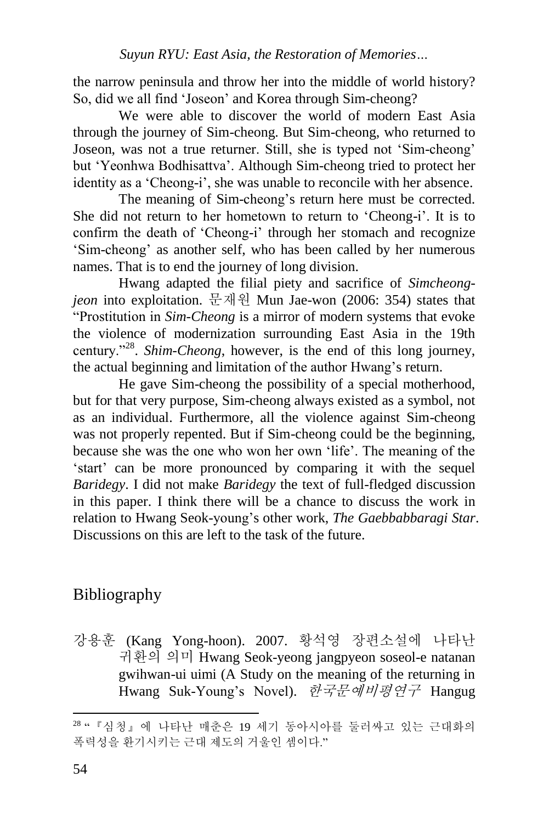the narrow peninsula and throw her into the middle of world history? So, did we all find 'Joseon' and Korea through Sim-cheong?

We were able to discover the world of modern East Asia through the journey of Sim-cheong. But Sim-cheong, who returned to Joseon, was not a true returner. Still, she is typed not 'Sim-cheong' but 'Yeonhwa Bodhisattva'. Although Sim-cheong tried to protect her identity as a 'Cheong-i', she was unable to reconcile with her absence.

The meaning of Sim-cheong's return here must be corrected. She did not return to her hometown to return to 'Cheong-i'. It is to confirm the death of 'Cheong-i' through her stomach and recognize 'Sim-cheong' as another self, who has been called by her numerous names. That is to end the journey of long division.

Hwang adapted the filial piety and sacrifice of *Simcheongjeon* into exploitation. 문재원 Mun Jae-won (2006: 354) states that "Prostitution in *Sim-Cheong* is a mirror of modern systems that evoke the violence of modernization surrounding East Asia in the 19th century."<sup>28</sup> . *Shim-Cheong*, however, is the end of this long journey, the actual beginning and limitation of the author Hwang's return.

He gave Sim-cheong the possibility of a special motherhood, but for that very purpose, Sim-cheong always existed as a symbol, not as an individual. Furthermore, all the violence against Sim-cheong was not properly repented. But if Sim-cheong could be the beginning, because she was the one who won her own 'life'. The meaning of the 'start' can be more pronounced by comparing it with the sequel *Baridegy*. I did not make *Baridegy* the text of full-fledged discussion in this paper. I think there will be a chance to discuss the work in relation to Hwang Seok-young's other work, *The Gaebbabbaragi Star*. Discussions on this are left to the task of the future.

# Bibliography

강용훈 (Kang Yong-hoon). 2007. 황석영 장편소설에 나타난 귀환의 의미 Hwang Seok-yeong jangpyeon soseol-e natanan gwihwan-ui uimi (A Study on the meaning of the returning in Hwang Suk-Young's Novel). 한국문예비평연구 Hangug

<sup>1</sup> <sup>28</sup> "『심청』에 나타난 매춘은 19 세기 동아시아를 둘러싸고 있는 근대화의 폭력성을 환기시키는 근대 제도의 거울인 셈이다."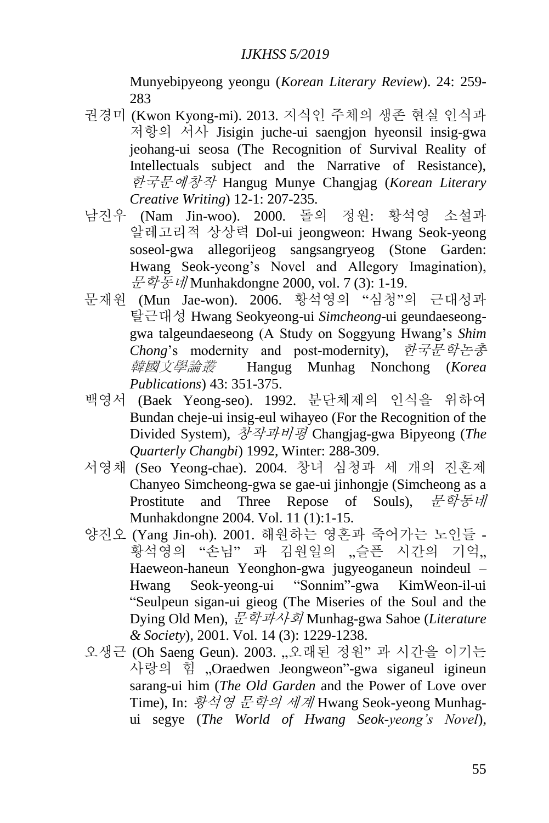Munyebipyeong yeongu (*Korean Literary Review*). 24: 259- 283

- 권경미 (Kwon Kyong-mi). 2013. 지식인 주체의 생존 현실 인식과 저항의 서사 Jisigin juche-ui saengjon hyeonsil insig-gwa jeohang-ui seosa (The Recognition of Survival Reality of Intellectuals subject and the Narrative of Resistance), 한국문예창작 Hangug Munye Changjag (*Korean Literary Creative Writing*) 12-1: 207-235.
- 남진우 (Nam Jin-woo). 2000. 돌의 정원: 황석영 소설과 알레고리적 상상력 Dol-ui jeongweon: Hwang Seok-yeong soseol-gwa allegorijeog sangsangryeog (Stone Garden: Hwang Seok-yeong's Novel and Allegory Imagination), 문학통네 Munhakdongne 2000, vol. 7 (3): 1-19.
- 문재원 (Mun Jae-won). 2006. 황석영의 "심청"의 근대성과 탈근대성 Hwang Seokyeong-ui *Simcheong*-ui geundaeseonggwa talgeundaeseong (A Study on Soggyung Hwang's *Shim Chong*'s modernity and post-modernity), 한국문학논총 韓國文學論叢 Hangug Munhag Nonchong (*Korea Publications*) 43: 351-375.
- 백영서 (Baek Yeong-seo). 1992. 분단체제의 인식을 위하여 Bundan cheje-ui insig-eul wihayeo (For the Recognition of the Divided System), 창작과비평 Changjag-gwa Bipyeong (*The Quarterly Changbi*) 1992, Winter: 288-309.
- 서영채 (Seo Yeong-chae). 2004. 창녀 심청과 세 개의 진혼제 Chanyeo Simcheong-gwa se gae-ui jinhongje (Simcheong as a Prostitute and Three Repose of Souls), 문학동네 Munhakdongne 2004. Vol. 11 (1):1-15.
- 양진오 (Yang Jin-oh). 2001. 해원하는 영혼과 죽어가는 노인들 。<br>황석영의 "손님" 과 김원일의 "슬픈 시간의 기억" Haeweon-haneun Yeonghon-gwa jugyeoganeun noindeul – Hwang Seok-yeong-ui "Sonnim"-gwa KimWeon-il-ui "Seulpeun sigan-ui gieog (The Miseries of the Soul and the Dying Old Men), 문학과사회 Munhag-gwa Sahoe (*Literature & Society*), 2001. Vol. 14 (3): 1229-1238.
- 오생근 (Oh Saeng Geun). 2003. "오래된 정원" 과 시간을 이기는 사랑의 힘 "Oraedwen Jeongweon"-gwa siganeul igineun sarang-ui him (*The Old Garden* and the Power of Love over Time), In: 황석영 문학의 세계 Hwang Seok-yeong Munhagui segye (*The World of Hwang Seok-yeong's Novel*),